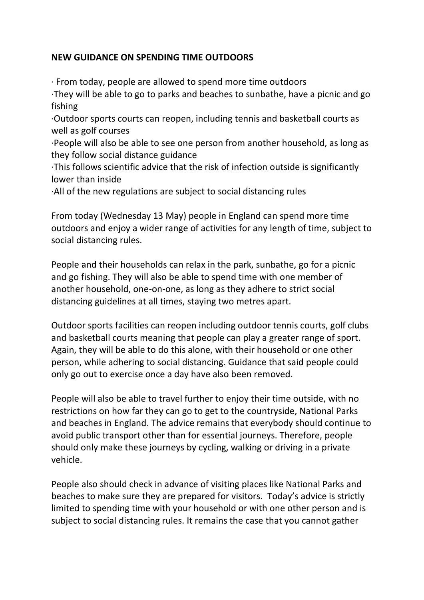## **NEW GUIDANCE ON SPENDING TIME OUTDOORS**

· From today, people are allowed to spend more time outdoors

·They will be able to go to parks and beaches to sunbathe, have a picnic and go fishing

·Outdoor sports courts can reopen, including tennis and basketball courts as well as golf courses

·People will also be able to see one person from another household, as long as they follow social distance guidance

·This follows scientific advice that the risk of infection outside is significantly lower than inside

·All of the new regulations are subject to social distancing rules

From today (Wednesday 13 May) people in England can spend more time outdoors and enjoy a wider range of activities for any length of time, subject to social distancing rules.

People and their households can relax in the park, sunbathe, go for a picnic and go fishing. They will also be able to spend time with one member of another household, one-on-one, as long as they adhere to strict social distancing guidelines at all times, staying two metres apart.

Outdoor sports facilities can reopen including outdoor tennis courts, golf clubs and basketball courts meaning that people can play a greater range of sport. Again, they will be able to do this alone, with their household or one other person, while adhering to social distancing. Guidance that said people could only go out to exercise once a day have also been removed.

People will also be able to travel further to enjoy their time outside, with no restrictions on how far they can go to get to the countryside, National Parks and beaches in England. The advice remains that everybody should continue to avoid public transport other than for essential journeys. Therefore, people should only make these journeys by cycling, walking or driving in a private vehicle.

People also should check in advance of visiting places like National Parks and beaches to make sure they are prepared for visitors. Today's advice is strictly limited to spending time with your household or with one other person and is subject to social distancing rules. It remains the case that you cannot gather